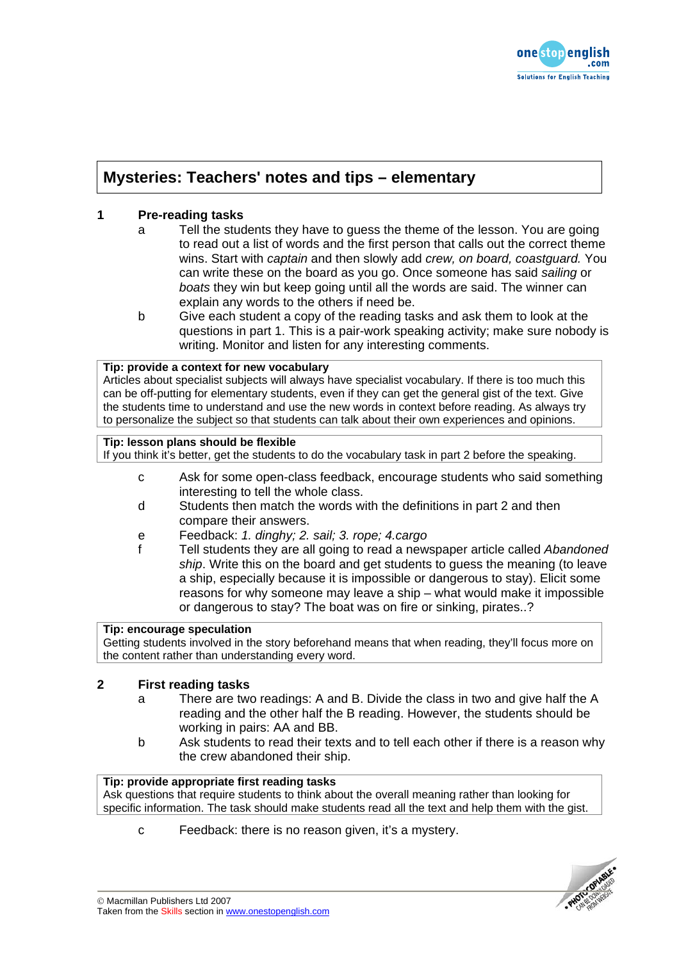

# **Mysteries: Teachers' notes and tips – elementary**

# **1 Pre-reading tasks**

- a Tell the students they have to guess the theme of the lesson. You are going to read out a list of words and the first person that calls out the correct theme wins. Start with *captain* and then slowly add *crew, on board, coastguard.* You can write these on the board as you go. Once someone has said *sailing* or *boats* they win but keep going until all the words are said. The winner can explain any words to the others if need be.
- b Give each student a copy of the reading tasks and ask them to look at the questions in part 1. This is a pair-work speaking activity; make sure nobody is writing. Monitor and listen for any interesting comments.

### **Tip: provide a context for new vocabulary**

Articles about specialist subjects will always have specialist vocabulary. If there is too much this can be off-putting for elementary students, even if they can get the general gist of the text. Give the students time to understand and use the new words in context before reading. As always try to personalize the subject so that students can talk about their own experiences and opinions.

### **Tip: lesson plans should be flexible**

If you think it's better, get the students to do the vocabulary task in part 2 before the speaking.

- c Ask for some open-class feedback, encourage students who said something interesting to tell the whole class.
- d Students then match the words with the definitions in part 2 and then compare their answers.
- e Feedback: *1. dinghy; 2. sail; 3. rope; 4.cargo*
- f Tell students they are all going to read a newspaper article called *Abandoned ship*. Write this on the board and get students to guess the meaning (to leave a ship, especially because it is impossible or dangerous to stay). Elicit some reasons for why someone may leave a ship – what would make it impossible or dangerous to stay? The boat was on fire or sinking, pirates..?

### **Tip: encourage speculation**

Getting students involved in the story beforehand means that when reading, they'll focus more on the content rather than understanding every word.

# **2 First reading tasks**

- a There are two readings: A and B. Divide the class in two and give half the A reading and the other half the B reading. However, the students should be working in pairs: AA and BB.
- b Ask students to read their texts and to tell each other if there is a reason why the crew abandoned their ship.

## **Tip: provide appropriate first reading tasks**

Ask questions that require students to think about the overall meaning rather than looking for specific information. The task should make students read all the text and help them with the gist.

c Feedback: there is no reason given, it's a mystery.